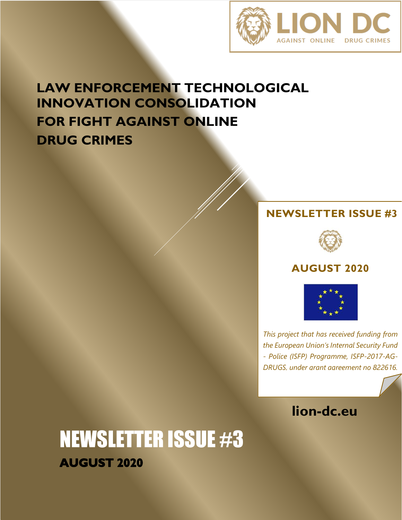

## **LAW ENFORCEMENT TECHNOLOGICAL INNOVATION CONSOLIDATION FOR FIGHT AGAINST ONLINE DRUG CRIMES**

### **NEWSLETTER ISSUE #3**



### **AUGUST 2020**



*This project that has received funding from the European Union's Internal Security Fund - Police (ISFP) Programme, ISFP-2017-AG-DRUGS, under grant agreement no 822616.*



NEWSLETTER ISSUE #3 **AUGUST 2020**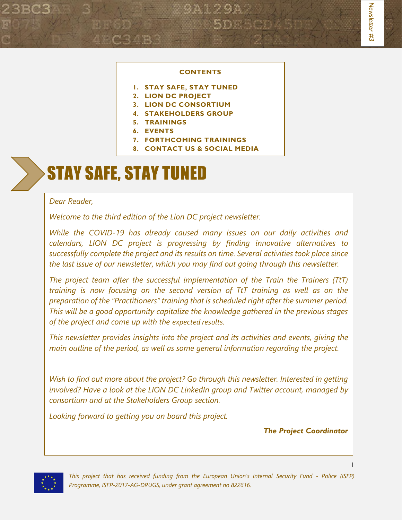#### **CONTENTS**

- **1. STAY SAFE, STAY TUNED**
- **2. LION DC PROJECT**
- **3. LION DC CONSORTIUM**
- **4. STAKEHOLDERS GROUP**
- **5. TRAININGS**
- **6. EVENTS**
- **7. FORTHCOMING TRAININGS**
- **8. CONTACT US & SOCIAL MEDIA**

# STAY SAFE, STAY TUNED

#### *Dear Reader,*

*Welcome to the third edition of the Lion DC project newsletter.* 

*While the COVID-19 has already caused many issues on our daily activities and calendars, LION DC project is progressing by finding innovative alternatives to successfully complete the project and its results on time. Several activities took place since the last issue of our newsletter, which you may find out going through this newsletter.*

*The project team after the successful implementation of the Train the Trainers (TtT) training is now focusing on the second version of TtT training as well as on the preparation of the "Practitioners" training that is scheduled right after the summer period. This will be a good opportunity capitalize the knowledge gathered in the previous stages of the project and come up with the expected results.*

*This newsletter provides insights into the project and its activities and events, giving the main outline of the period, as well as some general information regarding the project.*

*Wish to find out more about the project? Go through this newsletter. Interested in getting involved? Have a look at the LION DC LinkedIn group and Twitter account, managed by consortium and at the Stakeholders Group section.* 

*Looking forward to getting you on board this project.* 

*The Project Coordinator*



*This project that has received funding from the European Union's Internal Security Fund - Police (ISFP) Programme, ISFP-2017-AG-DRUGS, under grant agreement no 822616.*

1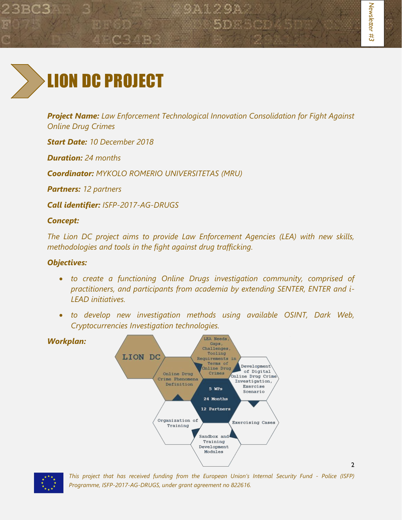

*Project Name: Law Enforcement Technological Innovation Consolidation for Fight Against Online Drug Crimes*

9A129A

*Start Date: 10 December 2018*

*Duration: 24 months*

*Coordinator: MYKOLO ROMERIO UNIVERSITETAS (MRU)*

*Partners: 12 partners*

*Call identifier: ISFP-2017-AG-DRUGS*

### *Concept:*

*The Lion DC project aims to provide Law Enforcement Agencies (LEA) with new skills, methodologies and tools in the fight against drug trafficking.*

### *Objectives:*

- *to create a functioning Online Drugs investigation community, comprised of practitioners, and participants from academia by extending SENTER, ENTER and i-LEAD initiatives.*
- *to develop new investigation methods using available OSINT, Dark Web, Cryptocurrencies Investigation technologies.*





*This project that has received funding from the European Union's Internal Security Fund - Police (ISFP) Programme, ISFP-2017-AG-DRUGS, under grant agreement no 822616.*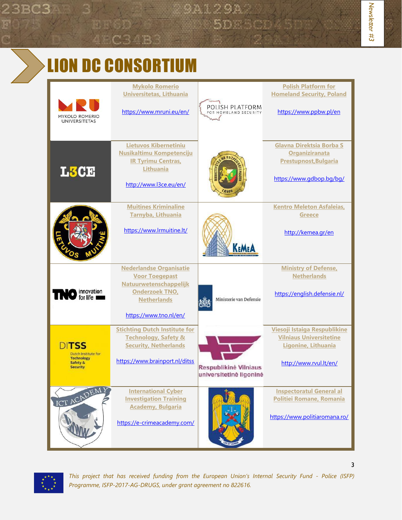# LION DC CONSORTIUM

| <b>MYKOLO ROMERIO</b><br><b>UNIVERSITETAS</b>                                    | <b>Mykolo Romerio</b><br><b>Universitetas, Lithuania</b><br>https://www.mruni.eu/en/                                                                        | POLISH PLATFORM<br>FOR HOMELAND SECURITY         | <b>Polish Platform for</b><br><b>Homeland Security, Poland</b><br>https://www.ppbw.pl/en                        |
|----------------------------------------------------------------------------------|-------------------------------------------------------------------------------------------------------------------------------------------------------------|--------------------------------------------------|-----------------------------------------------------------------------------------------------------------------|
| L3CE                                                                             | <b>Lietuvos Kibernetiniu</b><br><b>Nusikaltimu Kompetenciju</b><br><b>IR Tyrimu Centras,</b><br><b>Lithuania</b><br>http://www.l3ce.eu/en/                  |                                                  | <b>Glavna Direktsia Borba S</b><br>Organiziranata<br><b>Prestupnost, Bulgaria</b><br>https://www.adbop.ba/ba/   |
|                                                                                  | <b>Muitines Kriminaline</b><br>Tarnyba, Lithuania<br>https://www.lrmuitine.lt/                                                                              |                                                  | <b>Kentro Meleton Asfaleias,</b><br><b>Greece</b><br>http://kemea.gr/en                                         |
| innovation<br>for life                                                           | <b>Nederlandse Organisatie</b><br><b>Voor Toegepast</b><br>Natuurwetenschappelijk<br><b>Onderzoek TNO</b> ,<br><b>Netherlands</b><br>https://www.tno.nl/en/ | Ministerie van Defensie                          | <b>Ministry of Defense,</b><br><b>Netherlands</b><br>https://english.defensie.nl/                               |
| DITSS<br>Dutch Institute for<br><b>Technology</b><br>Safety &<br><b>Security</b> | <b>Stichting Dutch Institute for</b><br><b>Technology, Safety &amp;</b><br><b>Security, Netherlands</b><br>https://www.brainport.nl/ditss                   | Respublikinė Vilniaus<br>universitetine ligonine | Viesoji Istaiga Respublikine<br><b>Vilniaus Universitetine</b><br>Ligonine, Lithuania<br>http://www.rvul.lt/en/ |
| ICT ACADEM                                                                       | <b>International Cyber</b><br><b>Investigation Training</b><br><b>Academy, Bulgaria</b><br>https://e-crimeacademy.com/                                      |                                                  | <b>Inspectoratul General al</b><br>Politiei Romane, Romania<br>https://www.politiaromana.ro/                    |



*This project that has received funding from the European Union's Internal Security Fund - Police (ISFP) Programme, ISFP-2017-AG-DRUGS, under grant agreement no 822616.*

*Newsletter #* Newsletter #3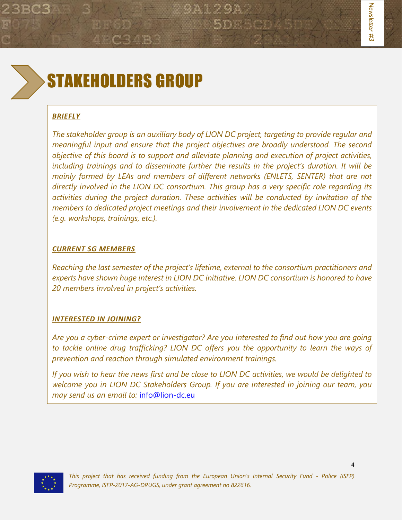

# STAKEHOLDERS GROUP

#### *BRIEFLY*

*The stakeholder group is an auxiliary body of LION DC project, targeting to provide regular and meaningful input and ensure that the project objectives are broadly understood. The second objective of this board is to support and alleviate planning and execution of project activities, including trainings and to disseminate further the results in the project's duration. It will be mainly formed by LEAs and members of different networks (ENLETS, SENTER) that are not directly involved in the LION DC consortium. This group has a very specific role regarding its activities during the project duration. These activities will be conducted by invitation of the members to dedicated project meetings and their involvement in the dedicated LION DC events (e.g. workshops, trainings, etc.).* 

#### *CURRENT SG MEMBERS*

*Reaching the last semester of the project's lifetime, external to the consortium practitioners and experts have shown huge interest in LION DC initiative. LION DC consortium is honored to have 20 members involved in project's activities.*

#### *INTERESTED IN JOINING?*

*Are you a cyber-crime expert or investigator? Are you interested to find out how you are going to tackle online drug trafficking? LION DC offers you the opportunity to learn the ways of prevention and reaction through simulated environment trainings.* 

*If you wish to hear the news first and be close to LION DC activities, we would be delighted to welcome you in LION DC Stakeholders Group. If you are interested in joining our team, you may send us an email to:* [info@lion-dc.eu](mailto:info@lion-dc.eu)

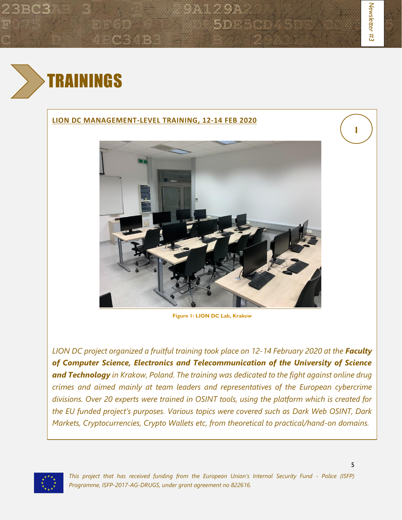#### **LION DC MANAGEMENT-LEVEL TRAINING, 12-14 FEB 2020**



3 A 1 2 9 A

5DE 1

**Figure 1: LION DC Lab, Krakow**

*LION DC project organized a fruitful training took place on 12-14 February 2020 at the Faculty of Computer Science, Electronics and Telecommunication of the University of Science and Technology in Krakow, Poland. The training was dedicated to the fight against online drug crimes and aimed mainly at team leaders and representatives of the European cybercrime divisions. Over 20 experts were trained in OSINT tools, using the platform which is created for the EU funded project's purposes. Various topics were covered such as Dark Web OSINT, Dark Markets, Cryptocurrencies, Crypto Wallets etc, from theoretical to practical/hand-on domains.*



**1**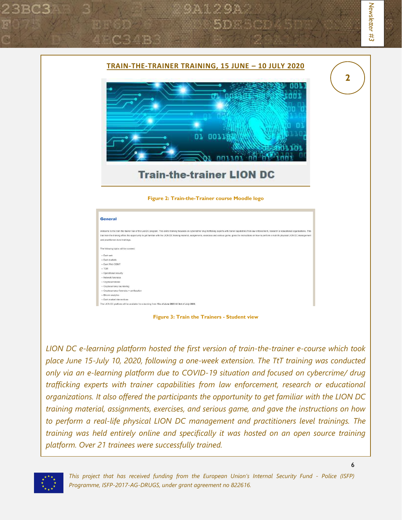

*LION DC e-learning platform hosted the first version of train-the-trainer e-course which took place June 15-July 10, 2020, following a one-week extension. The TtT training was conducted only via an e-learning platform due to COVID-19 situation and focused on cybercrime/ drug trafficking experts with trainer capabilities from law enforcement, research or educational organizations. It also offered the participants the opportunity to get familiar with the LION DC training material, assignments, exercises, and serious game, and gave the instructions on how to perform a real-life physical LION DC management and practitioners level trainings. The training was held entirely online and specifically it was hosted on an open source training platform. Over 21 trainees were successfully trained.*



*This project that has received funding from the European Union's Internal Security Fund - Police (ISFP) Programme, ISFP-2017-AG-DRUGS, under grant agreement no 822616.*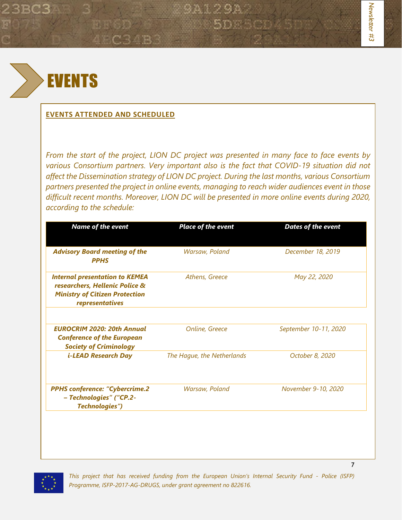

#### **EVENTS ATTENDED AND SCHEDULED**

*From the start of the project, LION DC project was presented in many face to face events by various Consortium partners. Very important also is the fact that COVID-19 situation did not affect the Dissemination strategy of LION DC project. During the last months, various Consortium partners presented the project in online events, managing to reach wider audiences event in those difficult recent months. Moreover, LION DC will be presented in more online events during 2020, according to the schedule:*

9A129A

5D F

| <b>Name of the event</b>                                                                                                            | <b>Place of the event</b>  | <b>Dates of the event</b> |
|-------------------------------------------------------------------------------------------------------------------------------------|----------------------------|---------------------------|
| <b>Advisory Board meeting of the</b><br><b>PPHS</b>                                                                                 | Warsaw, Poland             | December 18, 2019         |
| <b>Internal presentation to KEMEA</b><br>researchers, Hellenic Police &<br><b>Ministry of Citizen Protection</b><br>representatives | Athens, Greece             | May 22, 2020              |
| <b>EUROCRIM 2020: 20th Annual</b><br><b>Conference of the European</b><br><b>Society of Criminology</b>                             | Online, Greece             | September 10-11, 2020     |
| <b>i-LEAD Research Day</b>                                                                                                          | The Hague, the Netherlands | October 8, 2020           |
| <b>PPHS conference: "Cybercrime.2</b><br>- Technologies" ("CP.2-<br>Technologies")                                                  | Warsaw, Poland             | November 9-10, 2020       |



*This project that has received funding from the European Union's Internal Security Fund - Police (ISFP) Programme, ISFP-2017-AG-DRUGS, under grant agreement no 822616.*

7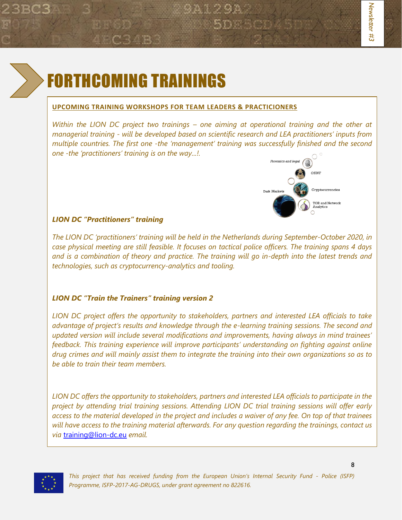

# FORTHCOMING TRAININGS

#### **UPCOMING TRAINING WORKSHOPS FOR TEAM LEADERS & PRACTICIONERS**

*Within the LION DC project two trainings – one aiming at operational training and the other at managerial training - will be developed based on scientific research and LEA practitioners' inputs from multiple countries. The first one -the 'management' training was successfully finished and the second one -the 'practitioners' training is on the way...!.*



#### *LION DC "Practitioners" training*

*The LION DC 'practitioners' training will be held in the Netherlands during September-October 2020, in case physical meeting are still feasible. It focuses on tactical police officers. The training spans 4 days and is a combination of theory and practice. The training will go in-depth into the latest trends and technologies, such as cryptocurrency-analytics and tooling.*

#### *LION DC "Train the Trainers" training version 2*

*LION DC project offers the opportunity to stakeholders, partners and interested LEA officials to take advantage of project's results and knowledge through the e-learning training sessions. The second and updated version will include several modifications and improvements, having always in mind trainees' feedback. This training experience will improve participants' understanding on fighting against online drug crimes and will mainly assist them to integrate the training into their own organizations so as to be able to train their team members.*

*LION DC offers the opportunity to stakeholders, partners and interested LEA officials to participate in the project by attending trial training sessions. Attending LION DC trial training sessions will offer early access to the material developed in the project and includes a waiver of any fee. On top of that trainees will have access to the training material afterwards. For any question regarding the trainings, contact us via* [training@lion-dc.eu](mailto:training@lion-dc.eu) *email.*



*This project that has received funding from the European Union's Internal Security Fund - Police (ISFP) Programme, ISFP-2017-AG-DRUGS, under grant agreement no 822616.*